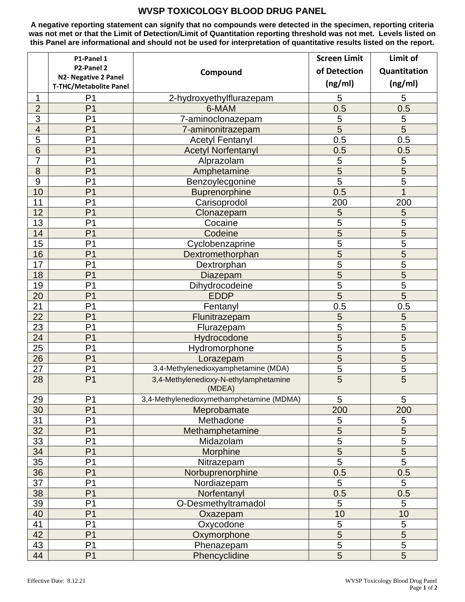## **WVSP TOXICOLOGY BLOOD DRUG PANEL**

**A negative reporting statement can signify that no compounds were detected in the specimen, reporting criteria was not met or that the Limit of Detection/Limit of Quantitation reporting threshold was not met. Levels listed on this Panel are informational and should not be used for interpretation of quantitative results listed on the report.**

|                | P1-Panel 1                                                   |                                                  | <b>Screen Limit</b> | Limit of            |
|----------------|--------------------------------------------------------------|--------------------------------------------------|---------------------|---------------------|
|                | P2-Panel 2                                                   | Compound                                         | of Detection        | Quantitation        |
|                | <b>N2- Negative 2 Panel</b><br><b>T-THC/Metabolite Panel</b> |                                                  | (ng/ml)             | (ng/ml)             |
| 1              | P <sub>1</sub>                                               | 2-hydroxyethylflurazepam                         | 5                   | 5                   |
| $\overline{2}$ | P <sub>1</sub>                                               | 6-MAM                                            | 0.5                 | 0.5                 |
| $\overline{3}$ | P <sub>1</sub>                                               | 7-aminoclonazepam                                | 5                   | 5                   |
| $\overline{4}$ | P <sub>1</sub>                                               | 7-aminonitrazepam                                | 5                   | $\overline{5}$      |
| $\overline{5}$ | P <sub>1</sub>                                               | <b>Acetyl Fentanyl</b>                           | 0.5                 | 0.5                 |
| 6              | P <sub>1</sub>                                               | <b>Acetyl Norfentanyl</b>                        | 0.5                 | 0.5                 |
| 7              | P <sub>1</sub>                                               | Alprazolam                                       | 5                   | 5                   |
| $\overline{8}$ | P <sub>1</sub>                                               | Amphetamine                                      | $\overline{5}$      | $\overline{5}$      |
| 9              | P <sub>1</sub>                                               | Benzoylecgonine                                  | $\overline{5}$      | $\overline{5}$      |
| 10             | P <sub>1</sub>                                               | <b>Buprenorphine</b>                             | 0.5                 | $\overline{1}$      |
| 11             | P <sub>1</sub>                                               | Carisoprodol                                     | 200                 | 200                 |
| 12             | P <sub>1</sub>                                               | Clonazepam                                       | 5                   | 5                   |
| 13             | P <sub>1</sub>                                               | Cocaine                                          | 5                   | 5                   |
| 14             | P <sub>1</sub>                                               | Codeine                                          | 5                   | 5                   |
| 15             | P <sub>1</sub>                                               |                                                  | 5                   | 5                   |
|                | P <sub>1</sub>                                               | Cyclobenzaprine                                  | $\overline{5}$      | $\overline{5}$      |
| 16<br>17       | P <sub>1</sub>                                               | Dextromethorphan                                 | 5                   | 5                   |
|                | P <sub>1</sub>                                               | Dextrorphan                                      | 5                   | $\overline{5}$      |
| 18             | P <sub>1</sub>                                               | Diazepam                                         | 5                   |                     |
| 19             | P <sub>1</sub>                                               | Dihydrocodeine                                   | 5                   | 5<br>5              |
| 20             | P <sub>1</sub>                                               | <b>EDDP</b>                                      |                     |                     |
| 21             |                                                              | Fentanyl                                         | 0.5                 | 0.5                 |
| 22             | P <sub>1</sub><br>P <sub>1</sub>                             | Flunitrazepam                                    | 5<br>$\overline{5}$ | 5<br>$\overline{5}$ |
| 23             | P <sub>1</sub>                                               | Flurazepam                                       |                     |                     |
| 24             | P <sub>1</sub>                                               | Hydrocodone                                      | 5                   | $\overline{5}$      |
| 25             |                                                              | Hydromorphone                                    | 5                   | $\overline{5}$      |
| 26             | P <sub>1</sub><br>P <sub>1</sub>                             | Lorazepam<br>3,4-Methylenedioxyamphetamine (MDA) | 5<br>$\overline{5}$ | $\overline{5}$      |
| 27             |                                                              |                                                  | 5                   | 5                   |
| 28             | P <sub>1</sub>                                               | 3,4-Methylenedioxy-N-ethylamphetamine<br>(MDEA)  |                     | 5                   |
| 29             | P <sub>1</sub>                                               | 3,4-Methylenedioxymethamphetamine (MDMA)         | 5                   | 5                   |
| 30             | P <sub>1</sub>                                               | Meprobamate                                      | 200                 | 200                 |
| 31             | P <sub>1</sub>                                               | Methadone                                        | 5                   | 5                   |
| 32             | P <sub>1</sub>                                               | Methamphetamine                                  | 5                   | $\sqrt{5}$          |
| 33             | P <sub>1</sub>                                               | Midazolam                                        | 5                   | 5                   |
| 34             | P <sub>1</sub>                                               | Morphine                                         | $\overline{5}$      | $\overline{5}$      |
| 35             | P <sub>1</sub>                                               | Nitrazepam                                       | $\overline{5}$      | $\overline{5}$      |
| 36             | P <sub>1</sub>                                               | Norbuprenorphine                                 | 0.5                 | 0.5                 |
| 37             | P <sub>1</sub>                                               | Nordiazepam                                      | 5                   | 5                   |
| 38             | P <sub>1</sub>                                               | Norfentanyl                                      | 0.5                 | 0.5                 |
| 39             | P <sub>1</sub>                                               | O-Desmethyltramadol                              | 5                   | 5                   |
| 40             | P <sub>1</sub>                                               | Oxazepam                                         | 10                  | 10                  |
| 41             | P <sub>1</sub>                                               | Oxycodone                                        | $\overline{5}$      | 5                   |
| 42             | P <sub>1</sub>                                               | Oxymorphone                                      | $\overline{5}$      | $\overline{5}$      |
| 43             | P <sub>1</sub>                                               | Phenazepam                                       | $\overline{5}$      | $\overline{5}$      |
| 44             | P <sub>1</sub>                                               | Phencyclidine                                    | 5                   | 5                   |